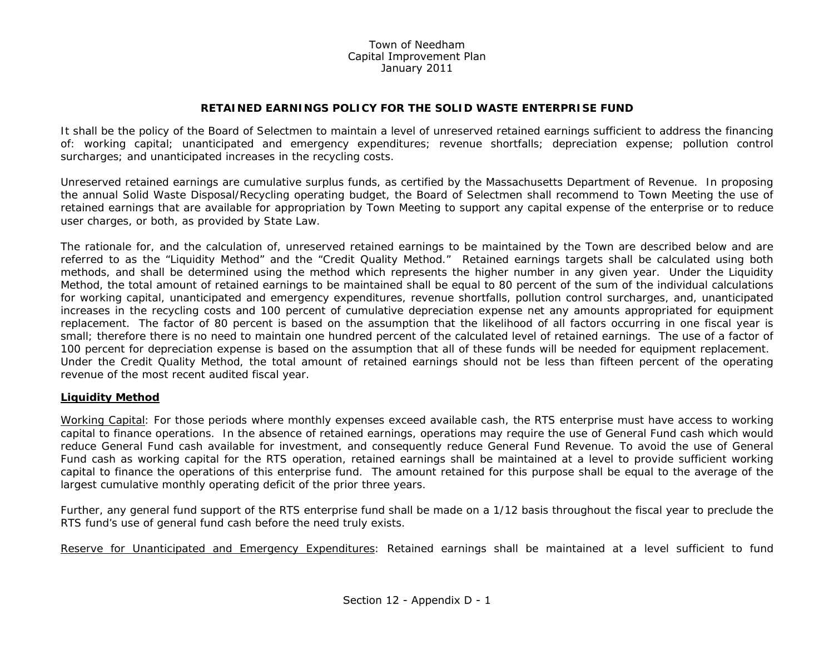## Town of NeedhamCapital Improvement Plan January 2011

## **RETAINED EARNINGS POLICY FOR THE SOLID WASTE ENTERPRISE FUND**

It shall be the policy of the Board of Selectmen to maintain a level of unreserved retained earnings sufficient to address the financing of: working capital; unanticipated and emergency expenditures; revenue shortfalls; depreciation expense; pollution control surcharges; and unanticipated increases in the recycling costs.

Unreserved retained earnings are cumulative surplus funds, as certified by the Massachusetts Department of Revenue. In proposing the annual Solid Waste Disposal/Recycling operating budget, the Board of Selectmen shall recommend to Town Meeting the use of retained earnings that are available for appropriation by Town Meeting to support any capital expense of the enterprise or to reduce user charges, or both, as provided by State Law.

The rationale for, and the calculation of, unreserved retained earnings to be maintained by the Town are described below and are referred to as the "Liquidity Method" and the "Credit Quality Method." Retained earnings targets shall be calculated using both methods, and shall be determined using the method which represents the higher number in any given year. Under the Liquidity Method, the total amount of retained earnings to be maintained shall be equal to 80 percent of the sum of the individual calculations for working capital, unanticipated and emergency expenditures, revenue shortfalls, pollution control surcharges, and, unanticipated increases in the recycling costs and 100 percent of cumulative depreciation expense net any amounts appropriated for equipment replacement. The factor of 80 percent is based on the assumption that the likelihood of all factors occurring in one fiscal year is small; therefore there is no need to maintain one hundred percent of the calculated level of retained earnings. The use of a factor of 100 percent for depreciation expense is based on the assumption that all of these funds will be needed for equipment replacement. Under the Credit Quality Method, the total amount of retained earnings should not be less than fifteen percent of the operating revenue of the most recent audited fiscal year.

## **Liquidity Method**

Working Capital: For those periods where monthly expenses exceed available cash, the RTS enterprise must have access to working capital to finance operations. In the absence of retained earnings, operations may require the use of General Fund cash which would reduce General Fund cash available for investment, and consequently reduce General Fund Revenue. To avoid the use of General Fund cash as working capital for the RTS operation, retained earnings shall be maintained at a level to provide sufficient working capital to finance the operations of this enterprise fund. The amount retained for this purpose shall be equal to the average of the largest cumulative monthly operating deficit of the prior three years.

Further, any general fund support of the RTS enterprise fund shall be made on a 1/12 basis throughout the fiscal year to preclude the RTS fund's use of general fund cash before the need truly exists.

Reserve for Unanticipated and Emergency Expenditures: Retained earnings shall be maintained at a level sufficient to fund